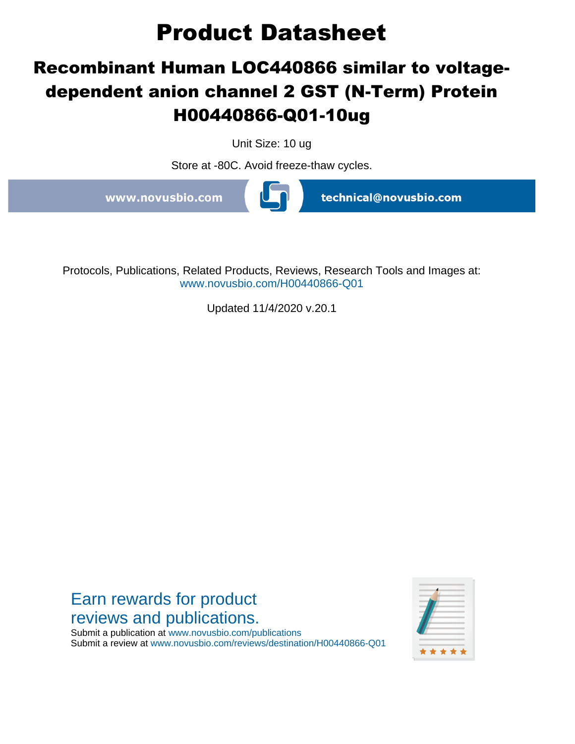# **Product Datasheet**

## **Recombinant Human LOC440866 similar to voltagedependent anion channel 2 GST (N-Term) Protein H00440866-Q01-10ug**

Unit Size: 10 ug

Store at -80C. Avoid freeze-thaw cycles.

www.novusbio.com

technical@novusbio.com

Protocols, Publications, Related Products, Reviews, Research Tools and Images at: www.novusbio.com/H00440866-Q01

Updated 11/4/2020 v.20.1

Earn rewards for product reviews and publications. \* \* \* \*

Submit a publication at www.novusbio.com/publications Submit a review at www.novusbio.com/reviews/destination/H00440866-Q01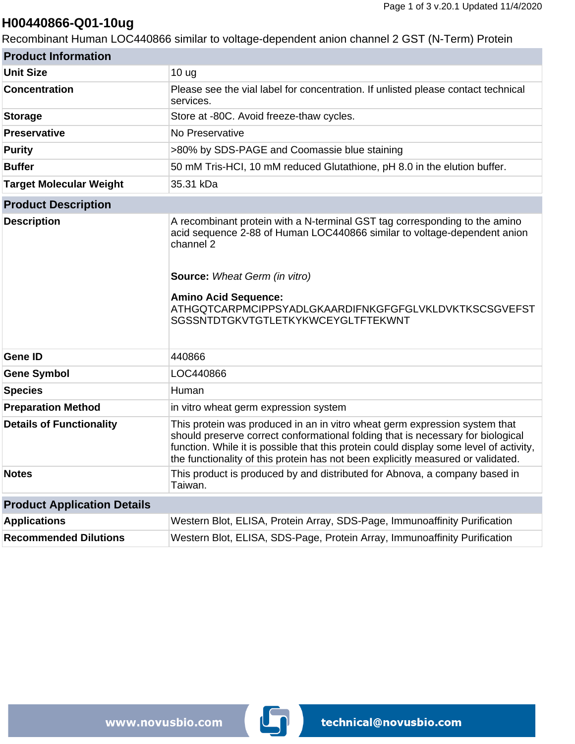### **H00440866-Q01-10ug**

Recombinant Human LOC440866 similar to voltage-dependent anion channel 2 GST (N-Term) Protein

| <b>Product Information</b>         |                                                                                                                                                                                                                                                                                                                                             |  |
|------------------------------------|---------------------------------------------------------------------------------------------------------------------------------------------------------------------------------------------------------------------------------------------------------------------------------------------------------------------------------------------|--|
| <b>Unit Size</b>                   | 10 <sub>ug</sub>                                                                                                                                                                                                                                                                                                                            |  |
| <b>Concentration</b>               | Please see the vial label for concentration. If unlisted please contact technical<br>services.                                                                                                                                                                                                                                              |  |
| <b>Storage</b>                     | Store at -80C. Avoid freeze-thaw cycles.                                                                                                                                                                                                                                                                                                    |  |
| <b>Preservative</b>                | No Preservative                                                                                                                                                                                                                                                                                                                             |  |
| <b>Purity</b>                      | >80% by SDS-PAGE and Coomassie blue staining                                                                                                                                                                                                                                                                                                |  |
| <b>Buffer</b>                      | 50 mM Tris-HCI, 10 mM reduced Glutathione, pH 8.0 in the elution buffer.                                                                                                                                                                                                                                                                    |  |
| <b>Target Molecular Weight</b>     | 35.31 kDa                                                                                                                                                                                                                                                                                                                                   |  |
| <b>Product Description</b>         |                                                                                                                                                                                                                                                                                                                                             |  |
| <b>Description</b>                 | A recombinant protein with a N-terminal GST tag corresponding to the amino<br>acid sequence 2-88 of Human LOC440866 similar to voltage-dependent anion<br>channel 2<br><b>Source:</b> Wheat Germ (in vitro)<br><b>Amino Acid Sequence:</b><br>ATHGQTCARPMCIPPSYADLGKAARDIFNKGFGFGLVKLDVKTKSCSGVEFST<br>SGSSNTDTGKVTGTLETKYKWCEYGLTFTEKWNT   |  |
| <b>Gene ID</b>                     | 440866                                                                                                                                                                                                                                                                                                                                      |  |
| <b>Gene Symbol</b>                 | LOC440866                                                                                                                                                                                                                                                                                                                                   |  |
| <b>Species</b>                     | Human                                                                                                                                                                                                                                                                                                                                       |  |
| <b>Preparation Method</b>          | in vitro wheat germ expression system                                                                                                                                                                                                                                                                                                       |  |
| <b>Details of Functionality</b>    | This protein was produced in an in vitro wheat germ expression system that<br>should preserve correct conformational folding that is necessary for biological<br>function. While it is possible that this protein could display some level of activity,<br>the functionality of this protein has not been explicitly measured or validated. |  |
| <b>Notes</b>                       | This product is produced by and distributed for Abnova, a company based in<br>Taiwan.                                                                                                                                                                                                                                                       |  |
| <b>Product Application Details</b> |                                                                                                                                                                                                                                                                                                                                             |  |
| <b>Applications</b>                | Western Blot, ELISA, Protein Array, SDS-Page, Immunoaffinity Purification                                                                                                                                                                                                                                                                   |  |
| <b>Recommended Dilutions</b>       | Western Blot, ELISA, SDS-Page, Protein Array, Immunoaffinity Purification                                                                                                                                                                                                                                                                   |  |

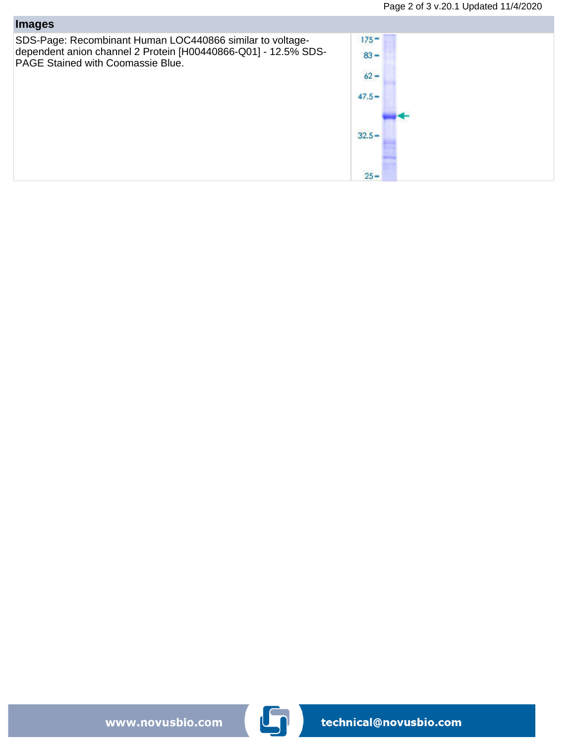| <b>Images</b>                                                                                                                                                    |                                         |
|------------------------------------------------------------------------------------------------------------------------------------------------------------------|-----------------------------------------|
| SDS-Page: Recombinant Human LOC440866 similar to voltage-<br>dependent anion channel 2 Protein [H00440866-Q01] - 12.5% SDS-<br>PAGE Stained with Coomassie Blue. | $175 -$<br>$83 -$<br>$62 -$<br>$47.5 -$ |
|                                                                                                                                                                  | $32.5 -$<br>$25 -$                      |

www.novusbio.com